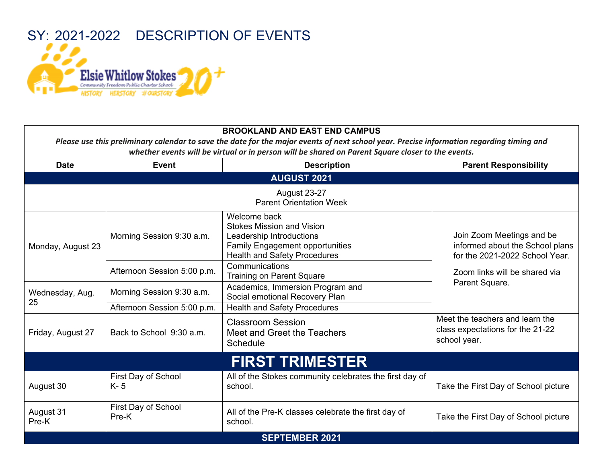

| <b>Date</b>        | <b>Event</b>                   | <b>Description</b>                                                                                                                                            | <b>Parent Responsibility</b>                                                                                                    |
|--------------------|--------------------------------|---------------------------------------------------------------------------------------------------------------------------------------------------------------|---------------------------------------------------------------------------------------------------------------------------------|
|                    |                                | <b>AUGUST 2021</b>                                                                                                                                            |                                                                                                                                 |
|                    |                                | <b>August 23-27</b><br><b>Parent Orientation Week</b>                                                                                                         |                                                                                                                                 |
| Monday, August 23  | Morning Session 9:30 a.m.      | Welcome back<br><b>Stokes Mission and Vision</b><br>Leadership Introductions<br><b>Family Engagement opportunities</b><br><b>Health and Safety Procedures</b> | Join Zoom Meetings and be<br>informed about the School plans<br>for the 2021-2022 School Year.<br>Zoom links will be shared via |
|                    | Afternoon Session 5:00 p.m.    | Communications<br><b>Training on Parent Square</b>                                                                                                            |                                                                                                                                 |
| Wednesday, Aug.    | Morning Session 9:30 a.m.      | Academics, Immersion Program and<br>Social emotional Recovery Plan                                                                                            | Parent Square.                                                                                                                  |
| 25                 | Afternoon Session 5:00 p.m.    | <b>Health and Safety Procedures</b>                                                                                                                           |                                                                                                                                 |
| Friday, August 27  | Back to School 9:30 a.m.       | <b>Classroom Session</b><br>Meet and Greet the Teachers<br>Schedule                                                                                           | Meet the teachers and learn the<br>class expectations for the 21-22<br>school year.                                             |
|                    |                                | <b>FIRST TRIMESTER</b>                                                                                                                                        |                                                                                                                                 |
| August 30          | First Day of School<br>$K - 5$ | All of the Stokes community celebrates the first day of<br>school.                                                                                            | Take the First Day of School picture                                                                                            |
| August 31<br>Pre-K | First Day of School<br>Pre-K   | All of the Pre-K classes celebrate the first day of<br>school.                                                                                                | Take the First Day of School picture                                                                                            |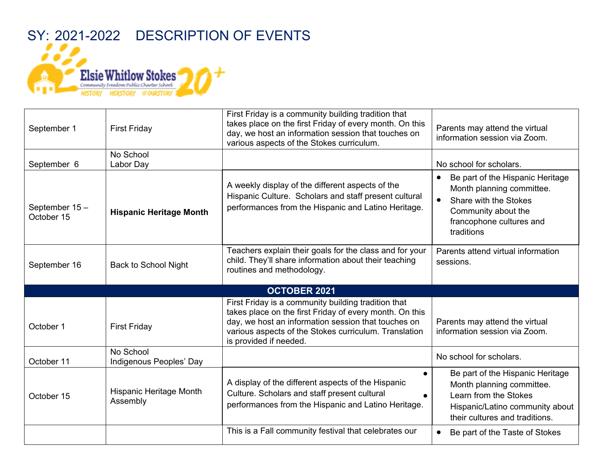

| September 1                 | <b>First Friday</b>                  | First Friday is a community building tradition that<br>takes place on the first Friday of every month. On this<br>day, we host an information session that touches on<br>various aspects of the Stokes curriculum.                                       | Parents may attend the virtual<br>information session via Zoom.                                                                                                      |
|-----------------------------|--------------------------------------|----------------------------------------------------------------------------------------------------------------------------------------------------------------------------------------------------------------------------------------------------------|----------------------------------------------------------------------------------------------------------------------------------------------------------------------|
| September 6                 | No School<br>Labor Day               |                                                                                                                                                                                                                                                          | No school for scholars.                                                                                                                                              |
| September 15-<br>October 15 | <b>Hispanic Heritage Month</b>       | A weekly display of the different aspects of the<br>Hispanic Culture. Scholars and staff present cultural<br>performances from the Hispanic and Latino Heritage.                                                                                         | Be part of the Hispanic Heritage<br>Month planning committee.<br>Share with the Stokes<br>$\bullet$<br>Community about the<br>francophone cultures and<br>traditions |
| September 16                | <b>Back to School Night</b>          | Teachers explain their goals for the class and for your<br>child. They'll share information about their teaching<br>routines and methodology.                                                                                                            | Parents attend virtual information<br>sessions.                                                                                                                      |
|                             |                                      | OCTOBER 2021                                                                                                                                                                                                                                             |                                                                                                                                                                      |
| October 1                   | <b>First Friday</b>                  | First Friday is a community building tradition that<br>takes place on the first Friday of every month. On this<br>day, we host an information session that touches on<br>various aspects of the Stokes curriculum. Translation<br>is provided if needed. | Parents may attend the virtual<br>information session via Zoom.                                                                                                      |
| October 11                  | No School<br>Indigenous Peoples' Day |                                                                                                                                                                                                                                                          | No school for scholars.                                                                                                                                              |
| October 15                  | Hispanic Heritage Month<br>Assembly  | $\bullet$<br>A display of the different aspects of the Hispanic<br>Culture. Scholars and staff present cultural<br>$\bullet$<br>performances from the Hispanic and Latino Heritage.                                                                      | Be part of the Hispanic Heritage<br>Month planning committee.<br>Learn from the Stokes<br>Hispanic/Latino community about<br>their cultures and traditions.          |
|                             |                                      | This is a Fall community festival that celebrates our                                                                                                                                                                                                    | Be part of the Taste of Stokes                                                                                                                                       |
|                             |                                      |                                                                                                                                                                                                                                                          |                                                                                                                                                                      |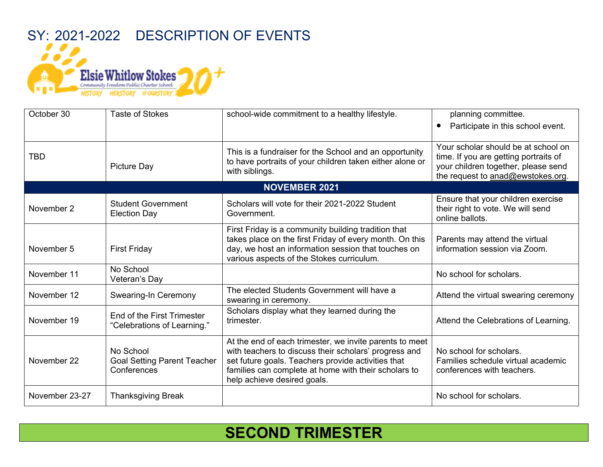

| October 30     | <b>Taste of Stokes</b>                                         | school-wide commitment to a healthy lifestyle.                                                                                                                                                                                                                | planning committee.                                                                                                                                      |
|----------------|----------------------------------------------------------------|---------------------------------------------------------------------------------------------------------------------------------------------------------------------------------------------------------------------------------------------------------------|----------------------------------------------------------------------------------------------------------------------------------------------------------|
|                |                                                                |                                                                                                                                                                                                                                                               | Participate in this school event.<br>$\bullet$                                                                                                           |
| <b>TBD</b>     | Picture Day                                                    | This is a fundraiser for the School and an opportunity<br>to have portraits of your children taken either alone or<br>with siblings.                                                                                                                          | Your scholar should be at school on<br>time. If you are getting portraits of<br>your children together, please send<br>the request to anad@ewstokes.org. |
|                |                                                                | <b>NOVEMBER 2021</b>                                                                                                                                                                                                                                          |                                                                                                                                                          |
| November 2     | <b>Student Government</b><br><b>Election Day</b>               | Scholars will vote for their 2021-2022 Student<br>Government.                                                                                                                                                                                                 | Ensure that your children exercise<br>their right to vote. We will send<br>online ballots.                                                               |
| November 5     | <b>First Friday</b>                                            | First Friday is a community building tradition that<br>takes place on the first Friday of every month. On this<br>day, we host an information session that touches on<br>various aspects of the Stokes curriculum.                                            | Parents may attend the virtual<br>information session via Zoom.                                                                                          |
| November 11    | No School<br>Veteran's Day                                     |                                                                                                                                                                                                                                                               | No school for scholars.                                                                                                                                  |
| November 12    | Swearing-In Ceremony                                           | The elected Students Government will have a<br>swearing in ceremony.                                                                                                                                                                                          | Attend the virtual swearing ceremony                                                                                                                     |
| November 19    | End of the First Trimester<br>"Celebrations of Learning."      | Scholars display what they learned during the<br>trimester.                                                                                                                                                                                                   | Attend the Celebrations of Learning.                                                                                                                     |
| November 22    | No School<br><b>Goal Setting Parent Teacher</b><br>Conferences | At the end of each trimester, we invite parents to meet<br>with teachers to discuss their scholars' progress and<br>set future goals. Teachers provide activities that<br>families can complete at home with their scholars to<br>help achieve desired goals. | No school for scholars.<br>Families schedule virtual academic<br>conferences with teachers.                                                              |
| November 23-27 | <b>Thanksgiving Break</b>                                      |                                                                                                                                                                                                                                                               | No school for scholars.                                                                                                                                  |

## **SECOND TRIMESTER**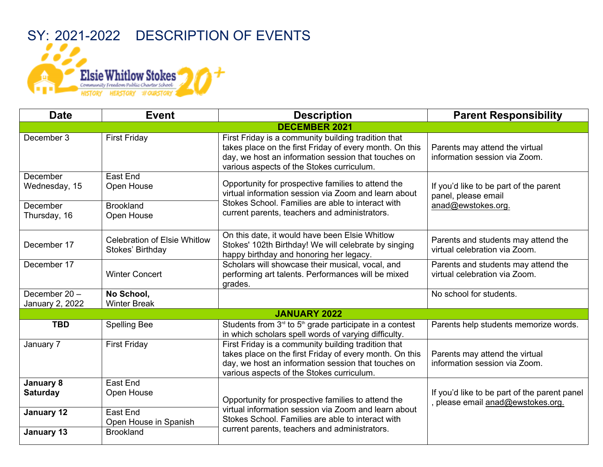SY: 2021-2022 DESCRIPTION OF EVENTS **Elsie Whitlow Stokes** Community Freedom Public Charter School HISTORY HERSTORY #OURSTORY

| <b>Date</b>                        | <b>Event</b>                                            | <b>Description</b>                                                                                                                                                                                                 | <b>Parent Responsibility</b>                                                        |  |  |
|------------------------------------|---------------------------------------------------------|--------------------------------------------------------------------------------------------------------------------------------------------------------------------------------------------------------------------|-------------------------------------------------------------------------------------|--|--|
| <b>DECEMBER 2021</b>               |                                                         |                                                                                                                                                                                                                    |                                                                                     |  |  |
| December 3                         | <b>First Friday</b>                                     | First Friday is a community building tradition that<br>takes place on the first Friday of every month. On this<br>day, we host an information session that touches on<br>various aspects of the Stokes curriculum. | Parents may attend the virtual<br>information session via Zoom.                     |  |  |
| December<br>Wednesday, 15          | East End<br>Open House                                  | Opportunity for prospective families to attend the<br>virtual information session via Zoom and learn about<br>Stokes School. Families are able to interact with<br>current parents, teachers and administrators.   | If you'd like to be part of the parent<br>panel, please email<br>anad@ewstokes.org. |  |  |
| December<br>Thursday, 16           | <b>Brookland</b><br>Open House                          |                                                                                                                                                                                                                    |                                                                                     |  |  |
| December 17                        | <b>Celebration of Elsie Whitlow</b><br>Stokes' Birthday | On this date, it would have been Elsie Whitlow<br>Stokes' 102th Birthday! We will celebrate by singing<br>happy birthday and honoring her legacy.                                                                  | Parents and students may attend the<br>virtual celebration via Zoom.                |  |  |
| December 17                        | <b>Winter Concert</b>                                   | Scholars will showcase their musical, vocal, and<br>performing art talents. Performances will be mixed<br>grades.                                                                                                  | Parents and students may attend the<br>virtual celebration via Zoom.                |  |  |
| December $20 -$<br>January 2, 2022 | No School,<br><b>Winter Break</b>                       |                                                                                                                                                                                                                    | No school for students.                                                             |  |  |
| <b>JANUARY 2022</b>                |                                                         |                                                                                                                                                                                                                    |                                                                                     |  |  |
| <b>TBD</b>                         | <b>Spelling Bee</b>                                     | Students from $3rd$ to $5th$ grade participate in a contest<br>in which scholars spell words of varying difficulty.                                                                                                | Parents help students memorize words.                                               |  |  |
| January 7                          | <b>First Friday</b>                                     | First Friday is a community building tradition that<br>takes place on the first Friday of every month. On this<br>day, we host an information session that touches on<br>various aspects of the Stokes curriculum. | Parents may attend the virtual<br>information session via Zoom.                     |  |  |
| January 8<br><b>Saturday</b>       | East End<br>Open House                                  | Opportunity for prospective families to attend the                                                                                                                                                                 | If you'd like to be part of the parent panel<br>, please email anad@ewstokes.org.   |  |  |
| January 12                         | East End<br>Open House in Spanish                       | virtual information session via Zoom and learn about<br>Stokes School. Families are able to interact with                                                                                                          |                                                                                     |  |  |
| January 13                         | <b>Brookland</b>                                        | current parents, teachers and administrators.                                                                                                                                                                      |                                                                                     |  |  |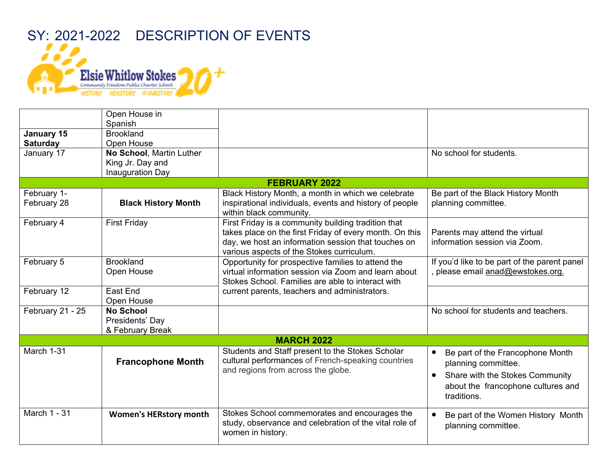## SY: 2021-2022 DESCRIPTION OF EVENTS **Elsie Whitlow Stokes** Community Freedom Public Charter School HISTORY HERSTORY #OURSTORY

|                            | Open House in<br>Spanish                                         |                                                                                                                                                                                                                    |                                                                                                                                                                           |
|----------------------------|------------------------------------------------------------------|--------------------------------------------------------------------------------------------------------------------------------------------------------------------------------------------------------------------|---------------------------------------------------------------------------------------------------------------------------------------------------------------------------|
| January 15                 | <b>Brookland</b>                                                 |                                                                                                                                                                                                                    |                                                                                                                                                                           |
| <b>Saturday</b>            | Open House                                                       |                                                                                                                                                                                                                    |                                                                                                                                                                           |
| January 17                 | No School, Martin Luther<br>King Jr. Day and<br>Inauguration Day |                                                                                                                                                                                                                    | No school for students.                                                                                                                                                   |
|                            |                                                                  | <b>FEBRUARY 2022</b>                                                                                                                                                                                               |                                                                                                                                                                           |
| February 1-<br>February 28 | <b>Black History Month</b>                                       | Black History Month, a month in which we celebrate<br>inspirational individuals, events and history of people<br>within black community.                                                                           | Be part of the Black History Month<br>planning committee.                                                                                                                 |
| February 4                 | <b>First Friday</b>                                              | First Friday is a community building tradition that<br>takes place on the first Friday of every month. On this<br>day, we host an information session that touches on<br>various aspects of the Stokes curriculum. | Parents may attend the virtual<br>information session via Zoom.                                                                                                           |
| February 5                 | <b>Brookland</b><br>Open House                                   | Opportunity for prospective families to attend the<br>virtual information session via Zoom and learn about<br>Stokes School. Families are able to interact with                                                    | If you'd like to be part of the parent panel<br>, please email anad@ewstokes.org.                                                                                         |
| February 12                | East End<br>Open House                                           | current parents, teachers and administrators.                                                                                                                                                                      |                                                                                                                                                                           |
| February 21 - 25           | <b>No School</b><br>Presidents' Day<br>& February Break          |                                                                                                                                                                                                                    | No school for students and teachers.                                                                                                                                      |
|                            |                                                                  | <b>MARCH 2022</b>                                                                                                                                                                                                  |                                                                                                                                                                           |
| March 1-31                 | <b>Francophone Month</b>                                         | Students and Staff present to the Stokes Scholar<br>cultural performances of French-speaking countries<br>and regions from across the globe.                                                                       | Be part of the Francophone Month<br>$\bullet$<br>planning committee.<br>Share with the Stokes Community<br>$\bullet$<br>about the francophone cultures and<br>traditions. |
| March 1 - 31               | <b>Women's HERstory month</b>                                    | Stokes School commemorates and encourages the<br>study, observance and celebration of the vital role of<br>women in history.                                                                                       | Be part of the Women History Month<br>planning committee.                                                                                                                 |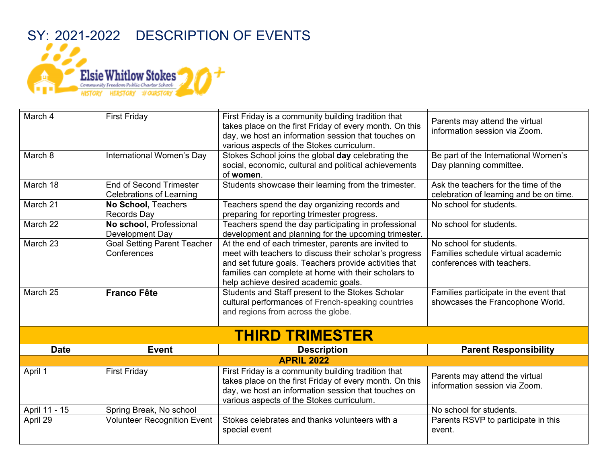## SY: 2021-2022 DESCRIPTION OF EVENTS **Elsie Whitlow Stokes** Community Freedom Public Charter School HISTORY HERSTORY #OURSTORY

| March 4<br>March 8 | <b>First Friday</b><br>International Women's Day                  | First Friday is a community building tradition that<br>takes place on the first Friday of every month. On this<br>day, we host an information session that touches on<br>various aspects of the Stokes curriculum.<br>Stokes School joins the global day celebrating the<br>social, economic, cultural and political achievements | Parents may attend the virtual<br>information session via Zoom.<br>Be part of the International Women's<br>Day planning committee. |
|--------------------|-------------------------------------------------------------------|-----------------------------------------------------------------------------------------------------------------------------------------------------------------------------------------------------------------------------------------------------------------------------------------------------------------------------------|------------------------------------------------------------------------------------------------------------------------------------|
|                    |                                                                   | of women.                                                                                                                                                                                                                                                                                                                         |                                                                                                                                    |
| March 18           | <b>End of Second Trimester</b><br><b>Celebrations of Learning</b> | Students showcase their learning from the trimester.                                                                                                                                                                                                                                                                              | Ask the teachers for the time of the<br>celebration of learning and be on time.                                                    |
| March 21           | No School, Teachers<br><b>Records Day</b>                         | Teachers spend the day organizing records and<br>preparing for reporting trimester progress.                                                                                                                                                                                                                                      | No school for students.                                                                                                            |
| March 22           | No school, Professional<br>Development Day                        | Teachers spend the day participating in professional<br>development and planning for the upcoming trimester.                                                                                                                                                                                                                      | No school for students.                                                                                                            |
| March 23           | <b>Goal Setting Parent Teacher</b><br>Conferences                 | At the end of each trimester, parents are invited to<br>meet with teachers to discuss their scholar's progress<br>and set future goals. Teachers provide activities that<br>families can complete at home with their scholars to<br>help achieve desired academic goals.                                                          | No school for students.<br>Families schedule virtual academic<br>conferences with teachers.                                        |
| March 25           | <b>Franco Fête</b>                                                | Students and Staff present to the Stokes Scholar<br>cultural performances of French-speaking countries<br>and regions from across the globe.                                                                                                                                                                                      | Families participate in the event that<br>showcases the Francophone World.                                                         |
|                    |                                                                   | <b>THIRD TRIMESTER</b>                                                                                                                                                                                                                                                                                                            |                                                                                                                                    |
| <b>Date</b>        | <b>Event</b>                                                      | <b>Description</b>                                                                                                                                                                                                                                                                                                                | <b>Parent Responsibility</b>                                                                                                       |
|                    |                                                                   | <b>APRIL 2022</b>                                                                                                                                                                                                                                                                                                                 |                                                                                                                                    |
| April 1            | <b>First Friday</b>                                               | First Friday is a community building tradition that<br>takes place on the first Friday of every month. On this<br>day, we host an information session that touches on<br>various aspects of the Stokes curriculum.                                                                                                                | Parents may attend the virtual<br>information session via Zoom.                                                                    |
| April 11 - 15      | Spring Break, No school                                           |                                                                                                                                                                                                                                                                                                                                   | No school for students.                                                                                                            |
| April 29           | <b>Volunteer Recognition Event</b>                                | Stokes celebrates and thanks volunteers with a<br>special event                                                                                                                                                                                                                                                                   | Parents RSVP to participate in this<br>event.                                                                                      |
|                    |                                                                   |                                                                                                                                                                                                                                                                                                                                   |                                                                                                                                    |